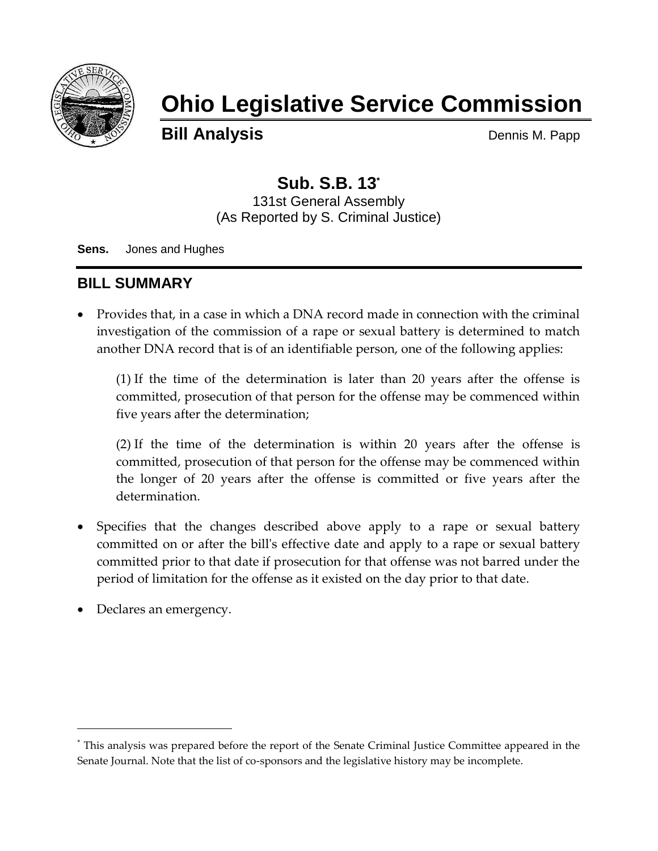

# **Ohio Legislative Service Commission**

**Bill Analysis** Dennis M. Papp

## **Sub. S.B. 13\***

131st General Assembly (As Reported by S. Criminal Justice)

**Sens.** Jones and Hughes

### **BILL SUMMARY**

 Provides that, in a case in which a DNA record made in connection with the criminal investigation of the commission of a rape or sexual battery is determined to match another DNA record that is of an identifiable person, one of the following applies:

(1) If the time of the determination is later than 20 years after the offense is committed, prosecution of that person for the offense may be commenced within five years after the determination;

(2) If the time of the determination is within 20 years after the offense is committed, prosecution of that person for the offense may be commenced within the longer of 20 years after the offense is committed or five years after the determination.

- Specifies that the changes described above apply to a rape or sexual battery committed on or after the bill's effective date and apply to a rape or sexual battery committed prior to that date if prosecution for that offense was not barred under the period of limitation for the offense as it existed on the day prior to that date.
- Declares an emergency.

 $\overline{a}$ 

<sup>\*</sup> This analysis was prepared before the report of the Senate Criminal Justice Committee appeared in the Senate Journal. Note that the list of co-sponsors and the legislative history may be incomplete.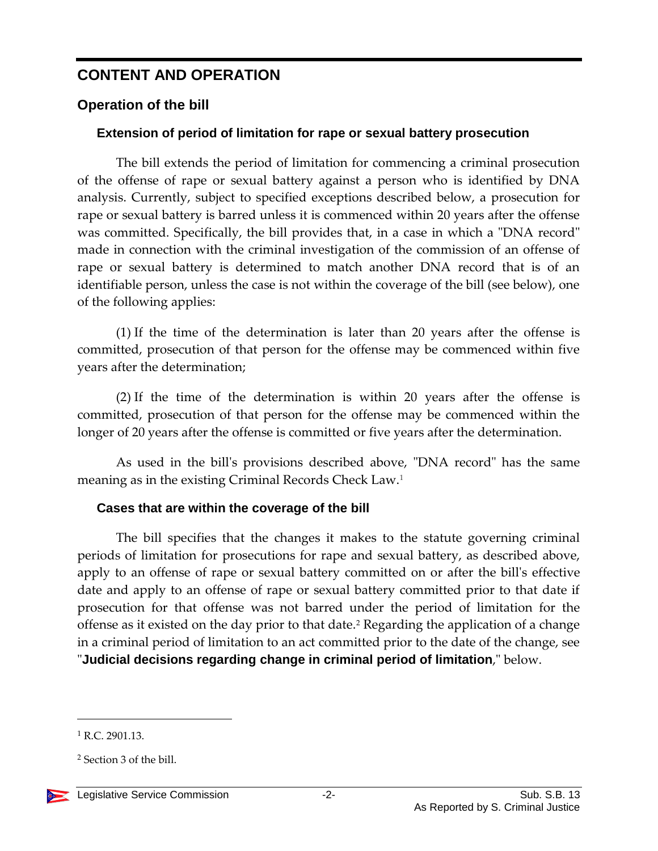## **CONTENT AND OPERATION**

#### **Operation of the bill**

#### **Extension of period of limitation for rape or sexual battery prosecution**

The bill extends the period of limitation for commencing a criminal prosecution of the offense of rape or sexual battery against a person who is identified by DNA analysis. Currently, subject to specified exceptions described below, a prosecution for rape or sexual battery is barred unless it is commenced within 20 years after the offense was committed. Specifically, the bill provides that, in a case in which a "DNA record" made in connection with the criminal investigation of the commission of an offense of rape or sexual battery is determined to match another DNA record that is of an identifiable person, unless the case is not within the coverage of the bill (see below), one of the following applies:

(1) If the time of the determination is later than 20 years after the offense is committed, prosecution of that person for the offense may be commenced within five years after the determination;

(2) If the time of the determination is within 20 years after the offense is committed, prosecution of that person for the offense may be commenced within the longer of 20 years after the offense is committed or five years after the determination.

As used in the bill's provisions described above, "DNA record" has the same meaning as in the existing Criminal Records Check Law.<sup>1</sup>

#### **Cases that are within the coverage of the bill**

The bill specifies that the changes it makes to the statute governing criminal periods of limitation for prosecutions for rape and sexual battery, as described above, apply to an offense of rape or sexual battery committed on or after the bill's effective date and apply to an offense of rape or sexual battery committed prior to that date if prosecution for that offense was not barred under the period of limitation for the offense as it existed on the day prior to that date.<sup>2</sup> Regarding the application of a change in a criminal period of limitation to an act committed prior to the date of the change, see "**Judicial decisions regarding change in criminal period of limitation**," below.

<sup>2</sup> Section 3 of the bill.



 $\overline{a}$ 

 $1$  R.C. 2901.13.